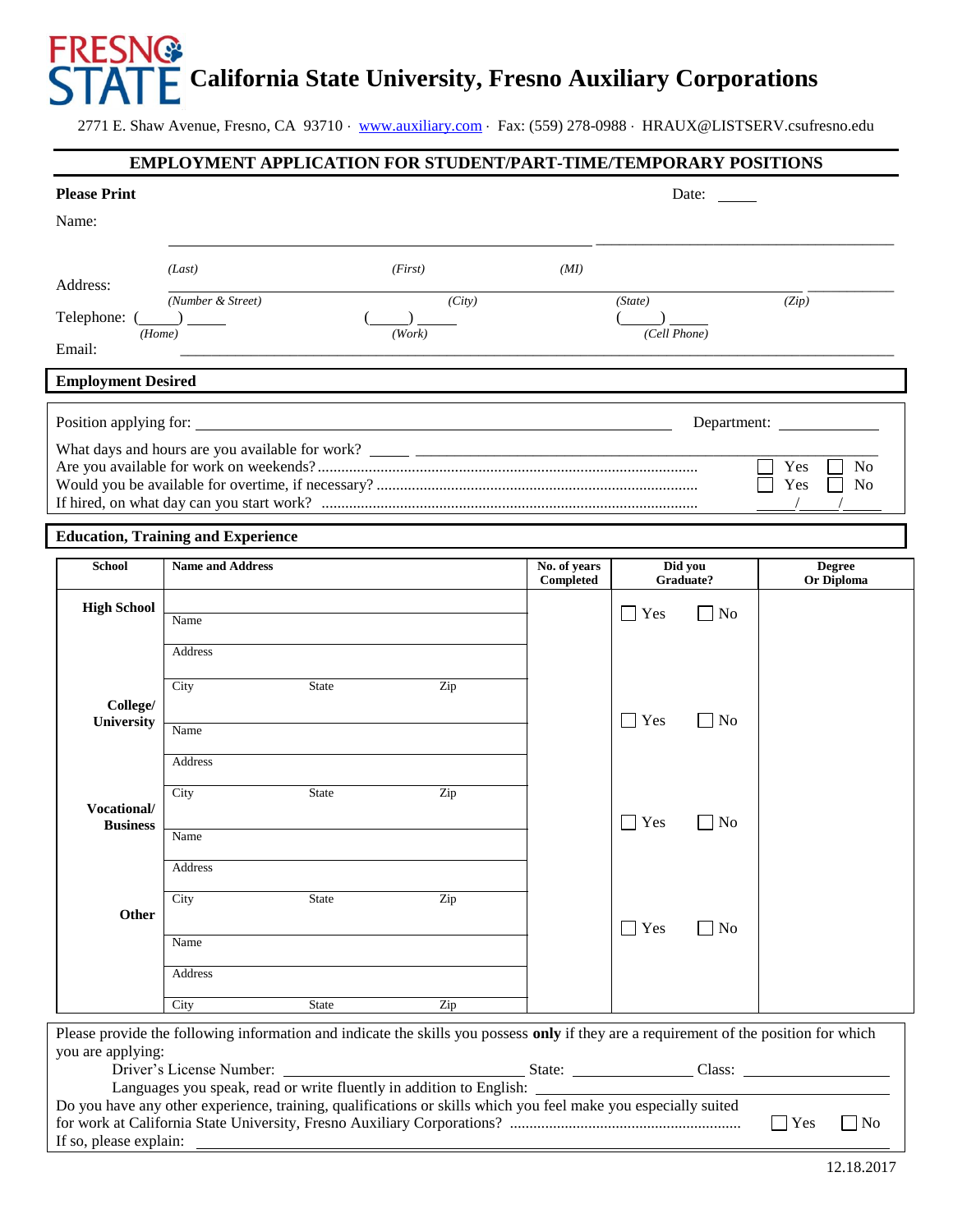# **FRESNG** **California State University, Fresno Auxiliary Corporations**

2771 E. Shaw Avenue, Fresno, CA 93710 · [www.auxiliary.com](http://www.auxiliary.com/) · Fax: (559) 278-0988 · HRAUX@LISTSERV.csufresno.edu

#### **EMPLOYMENT APPLICATION FOR STUDENT/PART-TIME/TEMPORARY POSITIONS**

| <b>Please Print</b>                                                                                                                                                                                                                                 |                                                            |         |              |                                 | Date:        |                                                |
|-----------------------------------------------------------------------------------------------------------------------------------------------------------------------------------------------------------------------------------------------------|------------------------------------------------------------|---------|--------------|---------------------------------|--------------|------------------------------------------------|
| Name:                                                                                                                                                                                                                                               |                                                            |         |              |                                 |              |                                                |
|                                                                                                                                                                                                                                                     |                                                            |         |              |                                 |              |                                                |
| Address:                                                                                                                                                                                                                                            | (Last)                                                     | (First) | (MI)         |                                 |              |                                                |
| Telephone: $(\_\_)$                                                                                                                                                                                                                                 | (Number & Street)                                          | (City)  |              | (State)                         |              | (Zip)                                          |
| (Home)<br>Email:                                                                                                                                                                                                                                    |                                                            | (Work)  |              | (Cell Phone)                    |              |                                                |
|                                                                                                                                                                                                                                                     |                                                            |         |              |                                 |              |                                                |
| <b>Employment Desired</b>                                                                                                                                                                                                                           |                                                            |         |              |                                 |              |                                                |
| Position applying for:                                                                                                                                                                                                                              | <u> 1989 - Johann Stoff, amerikansk politiker (* 1908)</u> |         |              |                                 |              |                                                |
|                                                                                                                                                                                                                                                     |                                                            |         |              |                                 |              |                                                |
|                                                                                                                                                                                                                                                     |                                                            |         |              |                                 |              | N <sub>o</sub><br>Yes<br>Yes<br>N <sub>0</sub> |
|                                                                                                                                                                                                                                                     |                                                            |         |              |                                 |              |                                                |
|                                                                                                                                                                                                                                                     | <b>Education, Training and Experience</b>                  |         |              |                                 |              |                                                |
| <b>School</b>                                                                                                                                                                                                                                       | <b>Name and Address</b>                                    |         | No. of years |                                 | Did you      | <b>Degree</b>                                  |
|                                                                                                                                                                                                                                                     |                                                            |         | Completed    |                                 | Graduate?    | Or Diploma                                     |
| <b>High School</b>                                                                                                                                                                                                                                  | Name                                                       |         |              | Yes<br>$\blacksquare$           | $\vert$   No |                                                |
|                                                                                                                                                                                                                                                     | Address                                                    |         |              |                                 |              |                                                |
|                                                                                                                                                                                                                                                     | City<br><b>State</b>                                       | Zip     |              |                                 |              |                                                |
| College/                                                                                                                                                                                                                                            |                                                            |         |              |                                 |              |                                                |
| University                                                                                                                                                                                                                                          | Name                                                       |         |              | $\overline{\phantom{a}}$<br>Yes | $\Box$ No    |                                                |
|                                                                                                                                                                                                                                                     | Address                                                    |         |              |                                 |              |                                                |
|                                                                                                                                                                                                                                                     | City<br><b>State</b>                                       | Zip     |              |                                 |              |                                                |
| Vocational/<br><b>Business</b>                                                                                                                                                                                                                      |                                                            |         |              | Yes<br>$\blacksquare$           | $\vert$   No |                                                |
|                                                                                                                                                                                                                                                     | Name                                                       |         |              |                                 |              |                                                |
|                                                                                                                                                                                                                                                     | Address                                                    |         |              |                                 |              |                                                |
|                                                                                                                                                                                                                                                     | City<br>State                                              | Zip     |              |                                 |              |                                                |
| Other                                                                                                                                                                                                                                               |                                                            |         |              | $\blacksquare$ Yes              | $\Box$ No    |                                                |
|                                                                                                                                                                                                                                                     | Name                                                       |         |              |                                 |              |                                                |
|                                                                                                                                                                                                                                                     | Address                                                    |         |              |                                 |              |                                                |
|                                                                                                                                                                                                                                                     | <b>State</b><br>City                                       | Zip     |              |                                 |              |                                                |
| Please provide the following information and indicate the skills you possess only if they are a requirement of the position for which                                                                                                               |                                                            |         |              |                                 |              |                                                |
| you are applying:<br>Driver's License Number: State: State: Class: Class: Class: Class: Class: Class: Class: Class: Class: Class: Class: Class: Class: Class: Class: Class: Class: Class: Class: Class: Class: Class: Class: Class: Class: Class: C |                                                            |         |              |                                 |              |                                                |
| Do you have any other experience, training, qualifications or skills which you feel make you especially suited                                                                                                                                      |                                                            |         |              |                                 |              |                                                |
| $\Box$ Yes<br>$\Box$ No                                                                                                                                                                                                                             |                                                            |         |              |                                 |              |                                                |
| If so, please explain:                                                                                                                                                                                                                              | <u> 1989 - Johann Barnett, fransk politiker (d. 1989)</u>  |         |              |                                 |              | 12.18.2017                                     |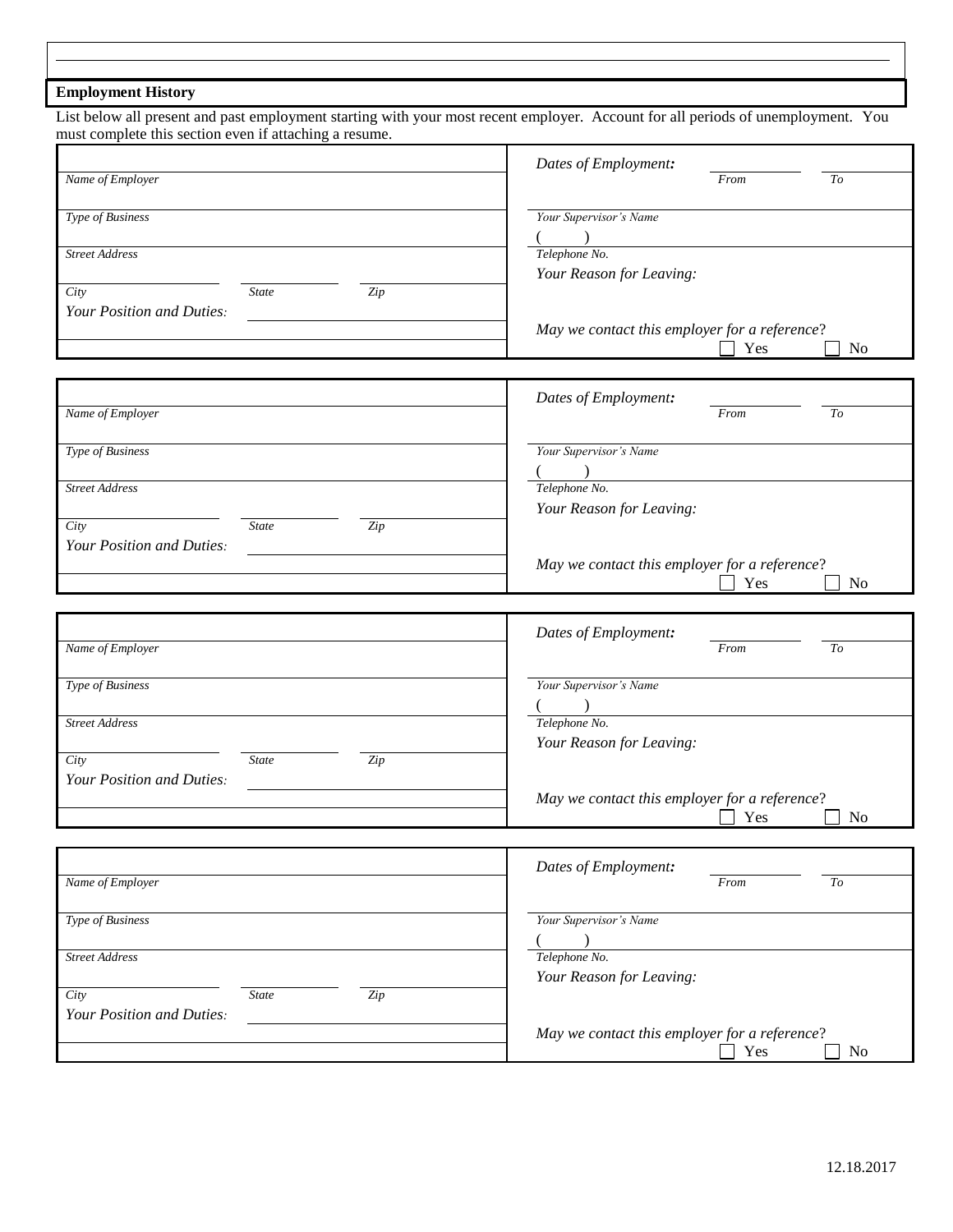### **Employment History**

List below all present and past employment starting with your most recent employer. Account for all periods of unemployment. You must complete this section even if attaching a resume.

|                                                                       | Dates of Employment:                          |      |                |
|-----------------------------------------------------------------------|-----------------------------------------------|------|----------------|
| Name of Employer                                                      |                                               | From | To             |
| Type of Business                                                      | Your Supervisor's Name<br>$\lambda$           |      |                |
| <b>Street Address</b>                                                 | Telephone No.<br>Your Reason for Leaving:     |      |                |
| City<br>$\overline{Zip}$<br><b>State</b><br>Your Position and Duties: |                                               |      |                |
|                                                                       | May we contact this employer for a reference? | Yes  | N <sub>0</sub> |
| Name of Employer                                                      | Dates of Employment:                          | From | To             |
|                                                                       |                                               |      |                |
| Type of Business                                                      | Your Supervisor's Name<br>$\lambda$           |      |                |
| <b>Street Address</b><br>City<br><b>State</b><br>$\overline{Zip}$     | Telephone No.<br>Your Reason for Leaving:     |      |                |
| Your Position and Duties:                                             | May we contact this employer for a reference? |      |                |
|                                                                       |                                               | Yes  | N <sub>0</sub> |
|                                                                       | Dates of Employment:                          |      |                |
| Name of Employer                                                      |                                               | From | To             |
| Type of Business                                                      | Your Supervisor's Name                        |      |                |
| <b>Street Address</b>                                                 | Telephone No.<br>Your Reason for Leaving:     |      |                |
| City<br><b>State</b><br>Zip<br>Your Position and Duties:              |                                               |      |                |
|                                                                       | May we contact this employer for a reference? | Yes  | N <sub>o</sub> |
|                                                                       | Dates of Employment:                          |      |                |
| Name of Employer                                                      |                                               | From | To             |
| Type of Business                                                      | Your Supervisor's Name                        |      |                |
| <b>Street Address</b>                                                 | Telephone No.<br>Your Reason for Leaving:     |      |                |
| City<br><b>State</b><br>Zip<br>Your Position and Duties:              |                                               |      |                |
|                                                                       | May we contact this employer for a reference? | Yes  | N <sub>0</sub> |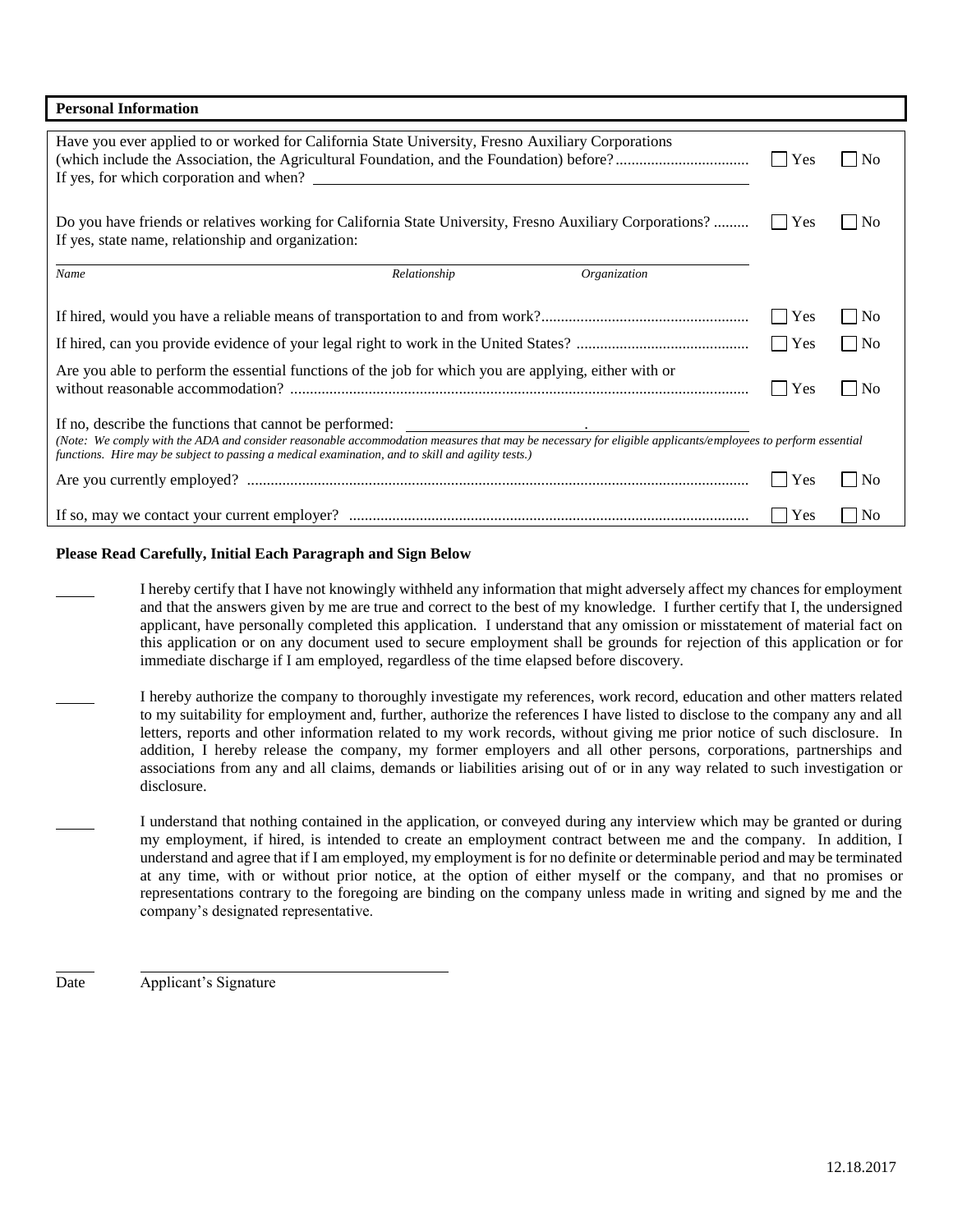| <b>Personal Information</b>                                                                                                                                                                                                                                                                                                                                                                                                                         |                |                                |                     |                   |  |
|-----------------------------------------------------------------------------------------------------------------------------------------------------------------------------------------------------------------------------------------------------------------------------------------------------------------------------------------------------------------------------------------------------------------------------------------------------|----------------|--------------------------------|---------------------|-------------------|--|
| Have you ever applied to or worked for California State University, Fresno Auxiliary Corporations                                                                                                                                                                                                                                                                                                                                                   |                |                                |                     | No                |  |
| Do you have friends or relatives working for California State University, Fresno Auxiliary Corporations?<br>N <sub>0</sub><br>$\mathbf{I}$<br>If yes, state name, relationship and organization:                                                                                                                                                                                                                                                    |                |                                |                     |                   |  |
| Name                                                                                                                                                                                                                                                                                                                                                                                                                                                | Relationship   | Organization                   |                     |                   |  |
|                                                                                                                                                                                                                                                                                                                                                                                                                                                     |                |                                | $\blacksquare$ Yes  | $\vert$  No       |  |
|                                                                                                                                                                                                                                                                                                                                                                                                                                                     |                |                                | $\Box$ Yes          | $\blacksquare$ No |  |
| Are you able to perform the essential functions of the job for which you are applying, either with or                                                                                                                                                                                                                                                                                                                                               | Yes<br>$\perp$ | N <sub>o</sub><br>$\mathsf{L}$ |                     |                   |  |
| If no, describe the functions that cannot be performed:<br><u> Alexandria (Carlo Carlo Carlo Carlo Carlo Carlo Carlo Carlo Carlo Carlo Carlo Carlo Carlo Carlo Carlo Carlo Ca</u><br>(Note: We comply with the ADA and consider reasonable accommodation measures that may be necessary for eligible applicants/employees to perform essential<br>functions. Hire may be subject to passing a medical examination, and to skill and agility tests.) |                |                                |                     |                   |  |
| Yes<br>$\mathsf{L}$<br>  No<br>$\mathbf{I}$                                                                                                                                                                                                                                                                                                                                                                                                         |                |                                |                     |                   |  |
|                                                                                                                                                                                                                                                                                                                                                                                                                                                     |                |                                | Yes<br>$\mathbf{1}$ | N <sub>0</sub>    |  |

#### **Please Read Carefully, Initial Each Paragraph and Sign Below**

- I hereby certify that I have not knowingly withheld any information that might adversely affect my chances for employment and that the answers given by me are true and correct to the best of my knowledge. I further certify that I, the undersigned applicant, have personally completed this application. I understand that any omission or misstatement of material fact on this application or on any document used to secure employment shall be grounds for rejection of this application or for immediate discharge if I am employed, regardless of the time elapsed before discovery.
- I hereby authorize the company to thoroughly investigate my references, work record, education and other matters related to my suitability for employment and, further, authorize the references I have listed to disclose to the company any and all letters, reports and other information related to my work records, without giving me prior notice of such disclosure. In addition, I hereby release the company, my former employers and all other persons, corporations, partnerships and associations from any and all claims, demands or liabilities arising out of or in any way related to such investigation or disclosure.
- I understand that nothing contained in the application, or conveyed during any interview which may be granted or during my employment, if hired, is intended to create an employment contract between me and the company. In addition, I understand and agree that if I am employed, my employment is for no definite or determinable period and may be terminated at any time, with or without prior notice, at the option of either myself or the company, and that no promises or representations contrary to the foregoing are binding on the company unless made in writing and signed by me and the company's designated representative.

Date Applicant's Signature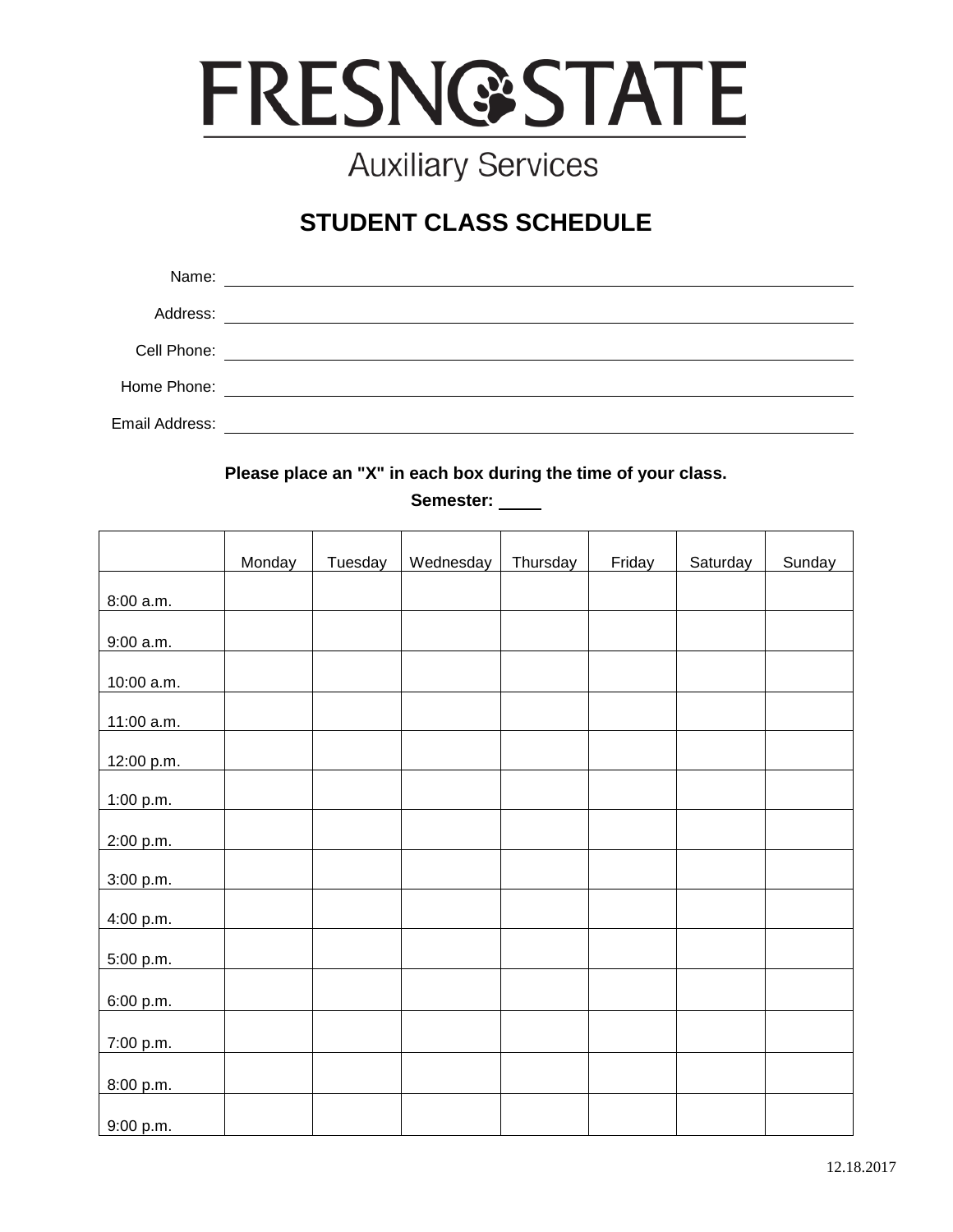

## **Auxiliary Services**

## **STUDENT CLASS SCHEDULE**

| Name:          |                                                                                                                      |
|----------------|----------------------------------------------------------------------------------------------------------------------|
| Address:       | <u> 1980 - Jan Samuel Barbara, margaret e populazion del control del control del control del control de la provi</u> |
| Cell Phone:    | <u> 1989 - Andrea Barbara, política española (h. 1989).</u>                                                          |
| Home Phone:    | <u> 1980 - Jan Stein Berlin, amerikansk politiker (</u>                                                              |
| Email Address: |                                                                                                                      |

**Please place an "X" in each box during the time of your class.**

**Semester:** 

|            | Monday | Tuesday | Wednesday | Thursday | Friday | Saturday | Sunday |
|------------|--------|---------|-----------|----------|--------|----------|--------|
|            |        |         |           |          |        |          |        |
| 8:00 a.m.  |        |         |           |          |        |          |        |
| 9:00 a.m.  |        |         |           |          |        |          |        |
| 10:00 a.m. |        |         |           |          |        |          |        |
| 11:00 a.m. |        |         |           |          |        |          |        |
| 12:00 p.m. |        |         |           |          |        |          |        |
| 1:00 p.m.  |        |         |           |          |        |          |        |
| 2:00 p.m.  |        |         |           |          |        |          |        |
| 3:00 p.m.  |        |         |           |          |        |          |        |
| 4:00 p.m.  |        |         |           |          |        |          |        |
| 5:00 p.m.  |        |         |           |          |        |          |        |
| 6:00 p.m.  |        |         |           |          |        |          |        |
| 7:00 p.m.  |        |         |           |          |        |          |        |
| 8:00 p.m.  |        |         |           |          |        |          |        |
| 9:00 p.m.  |        |         |           |          |        |          |        |